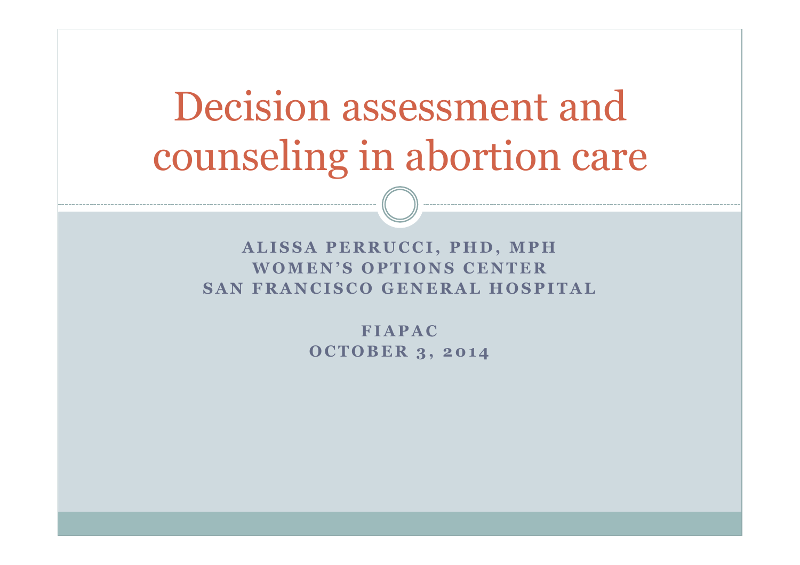# Decision assessment and counseling in abortion care

**ALISSA PERRUCCI, PHD, MPH WOMEN'S OPTIONS CENTER SAN FRANCISCO GENERAL HOSPITAL** 

> **FIAPAC OCTOBER 3, 2014**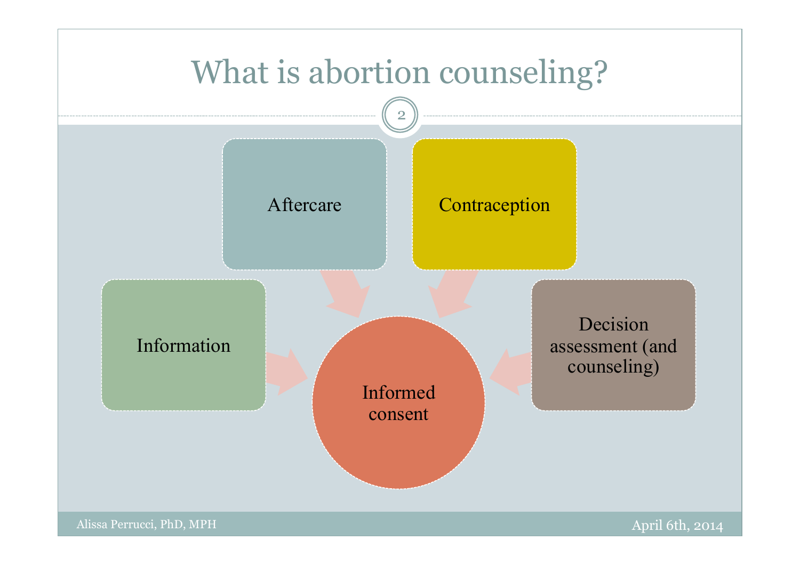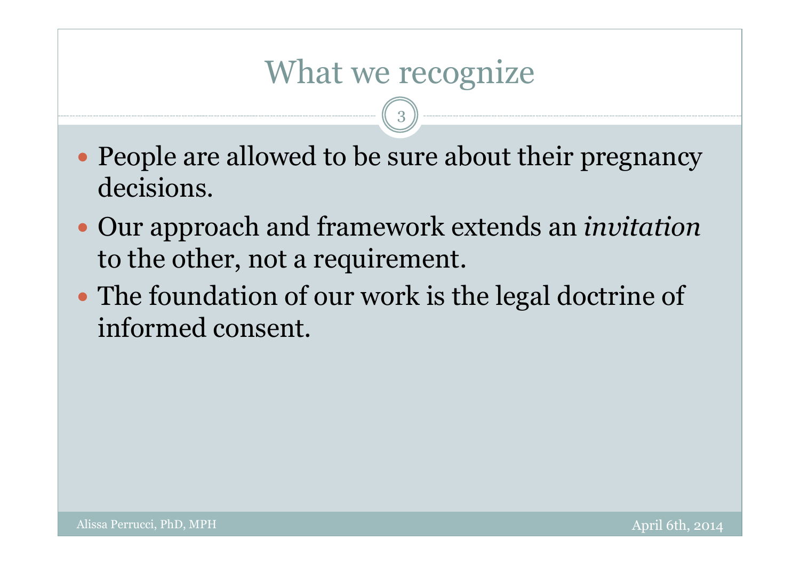### What we recognize

- People are allowed to be sure about their pregnancy decisions.
- Our approach and framework extends an *invitation* to the other, not a requirement.
- The foundation of our work is the legal doctrine of informed consent.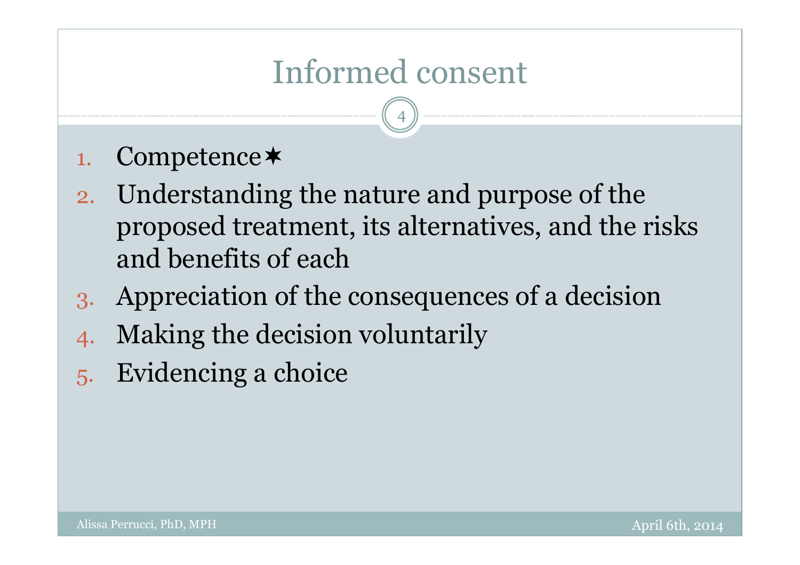# Informed consent

- 1. Competence
- 2. Understanding the nature and purpose of the proposed treatment, its alternatives, and the risks and benefits of each
- 3. Appreciation of the consequences of a decision
- 4. Making the decision voluntarily
- 5. Evidencing a choice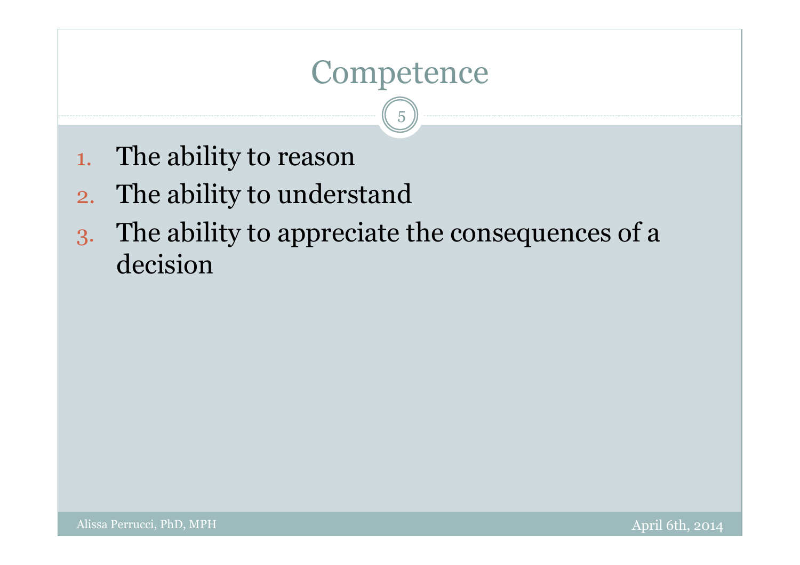### Competence

- 1. The ability to reason
- 2. The ability to understand
- 3. The ability to appreciate the consequences of a decision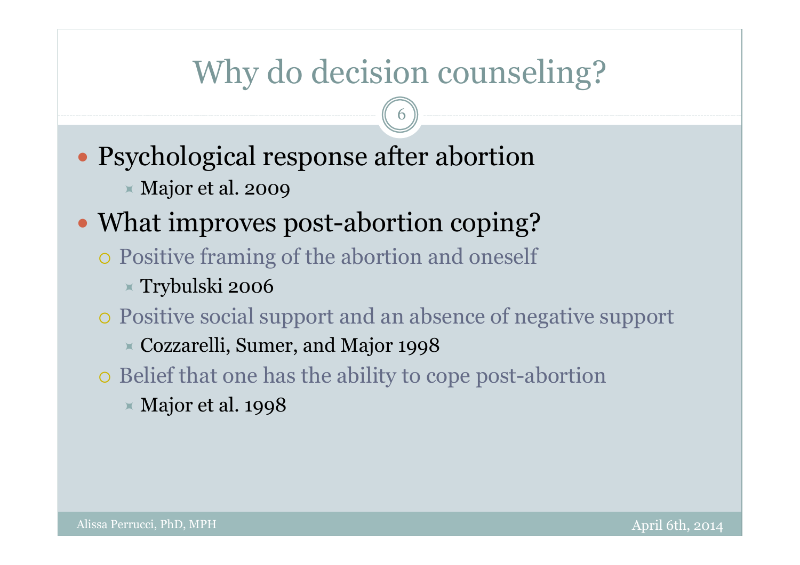# Why do decision counseling?

6

- Psychological response after abortion
	- Major et al. 2009

### • What improves post-abortion coping?

- Positive framing of the abortion and oneself
	- Trybulski 2006
- Positive social support and an absence of negative support
	- Cozzarelli, Sumer, and Major 1998
- Belief that one has the ability to cope post-abortion
	- $\times$  Major et al. 1998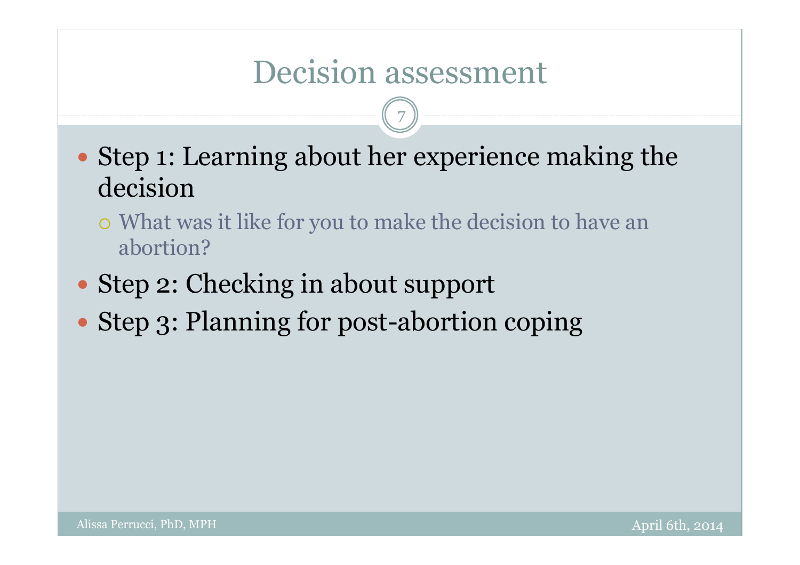### Decision assessment

- Step 1: Learning about her experience making the decision
	- What was it like for you to make the decision to have an abortion?
- Step 2: Checking in about support
- Step 3: Planning for post-abortion coping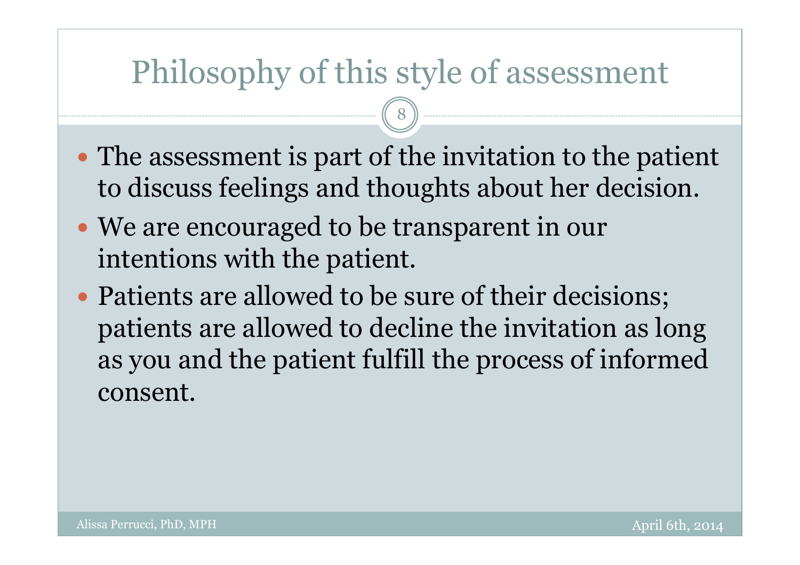## Philosophy of this style of assessment

- The assessment is part of the invitation to the patient to discuss feelings and thoughts about her decision.
- We are encouraged to be transparent in our intentions with the patient.
- Patients are allowed to be sure of their decisions; patients are allowed to decline the invitation as long as you and the patient fulfill the process of informed consent.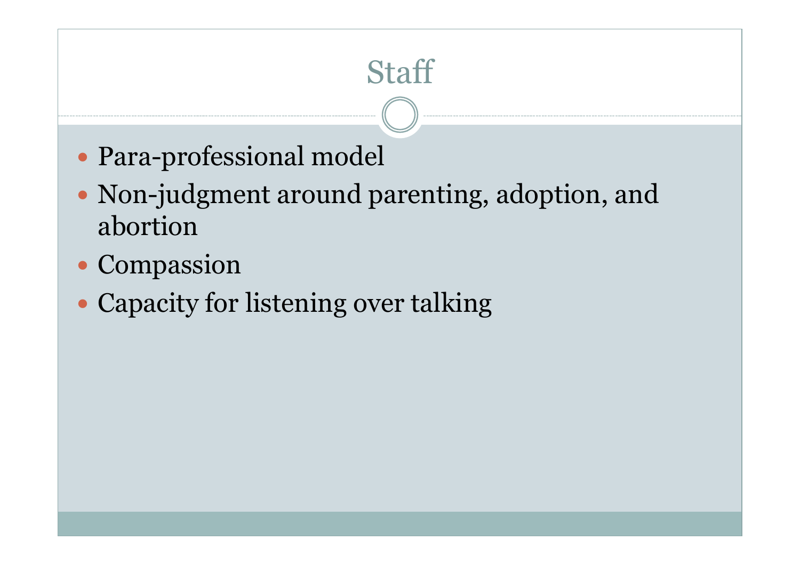## **Staff**

- Para-professional model
- Non-judgment around parenting, adoption, and abortion
- Compassion
- Capacity for listening over talking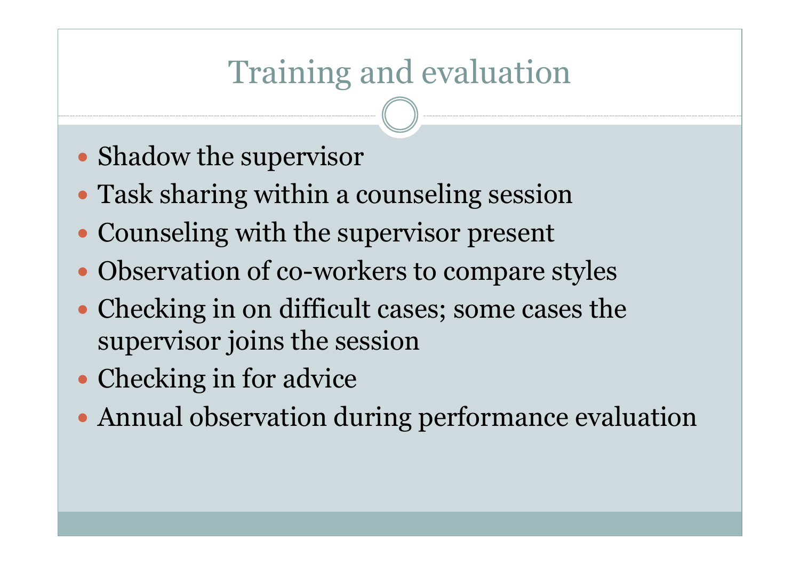# Training and evaluation

- Shadow the supervisor
- Task sharing within a counseling session
- Counseling with the supervisor present
- Observation of co-workers to compare styles
- Checking in on difficult cases; some cases the supervisor joins the session
- Checking in for advice
- Annual observation during performance evaluation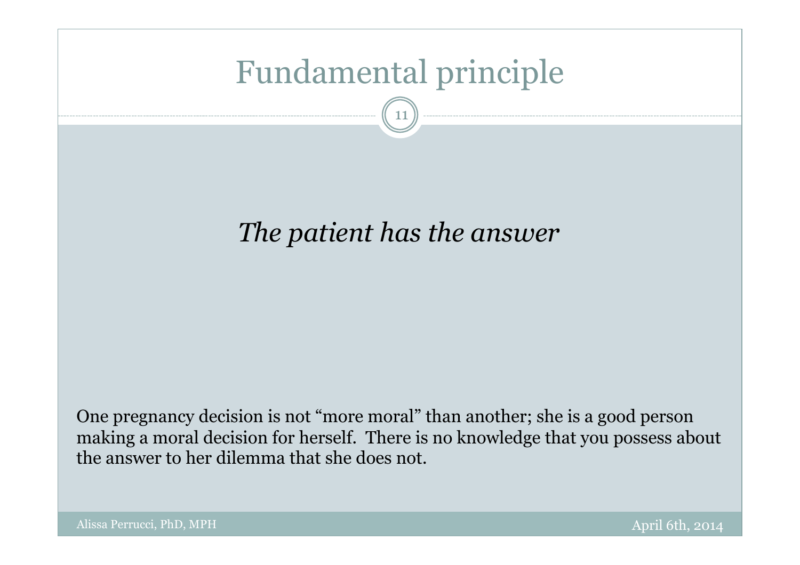# Fundamental principle

11

#### *The patient has the answer*

One pregnancy decision is not "more moral" than another; she is a good person making a moral decision for herself. There is no knowledge that you possess about the answer to her dilemma that she does not.

Alissa Perrucci, PhD, MPH April 6th, 2014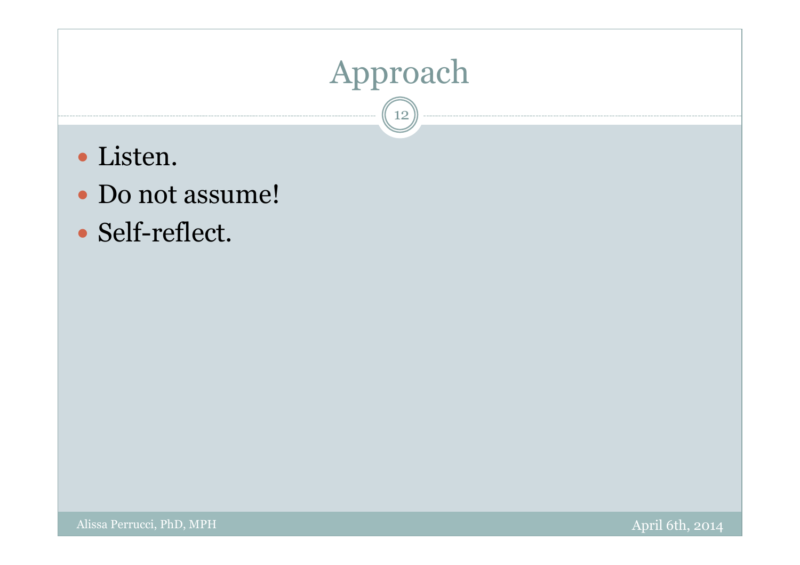### Approach  $\widehat{12}$

- Listen.
- Do not assume!
- Self-reflect.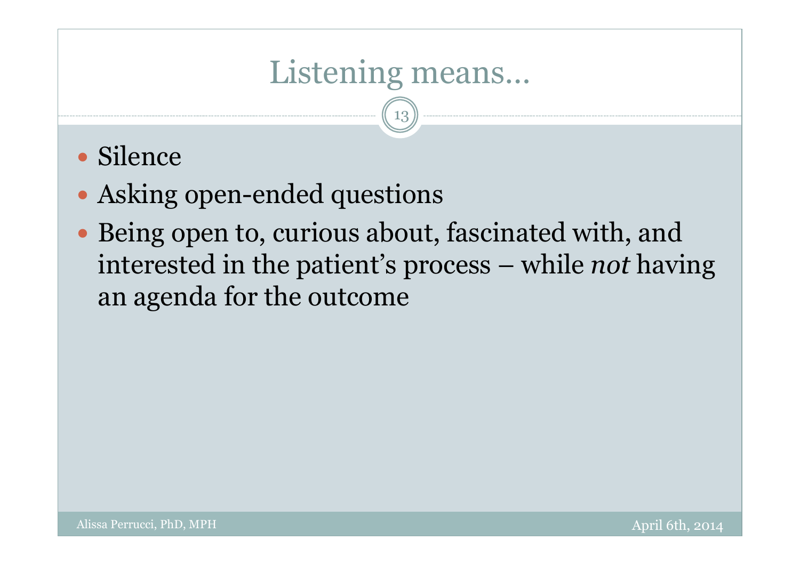# Listening means…

- Silence
- Asking open-ended questions
- Being open to, curious about, fascinated with, and interested in the patient's process – while *not* having an agenda for the outcome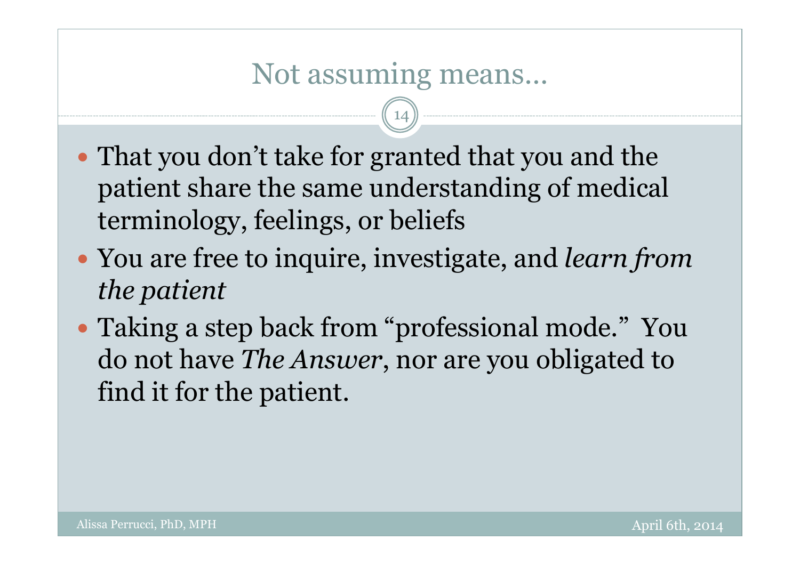#### Not assuming means…

- That you don't take for granted that you and the patient share the same understanding of medical terminology, feelings, or beliefs
- You are free to inquire, investigate, and *learn from the patient*
- Taking a step back from "professional mode." You do not have *The Answer*, nor are you obligated to find it for the patient.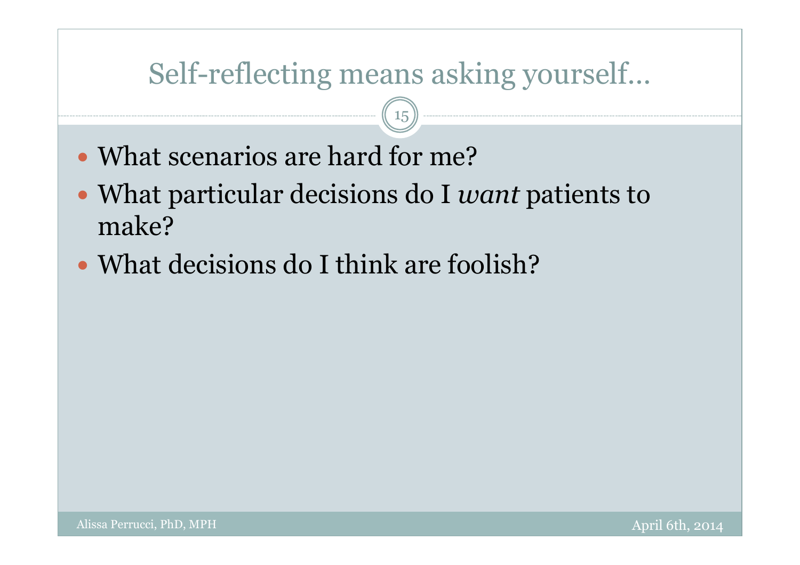### Self-reflecting means asking yourself…

- What scenarios are hard for me?
- What particular decisions do I *want* patients to make?
- What decisions do I think are foolish?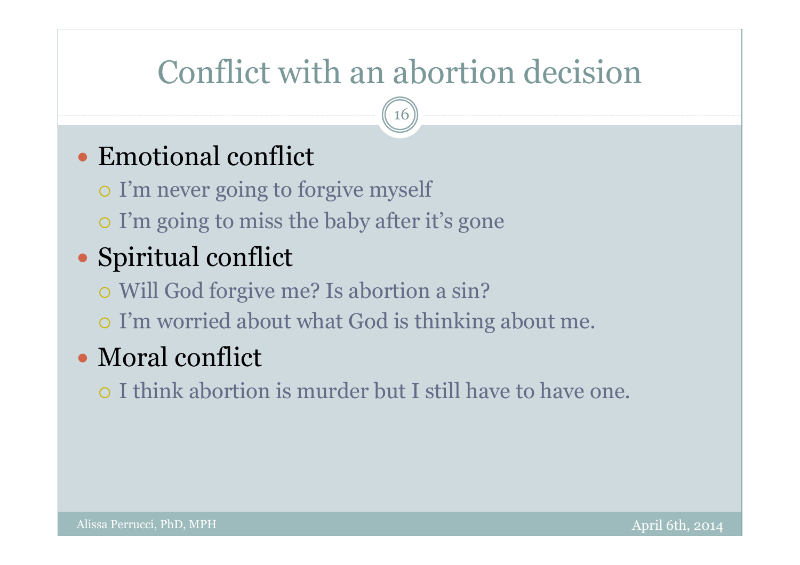# Conflict with an abortion decision

16

#### Emotional conflict

I'm never going to forgive myself

I'm going to miss the baby after it's gone

#### • Spiritual conflict

Will God forgive me? Is abortion a sin?

I'm worried about what God is thinking about me.

#### • Moral conflict

I think abortion is murder but I still have to have one.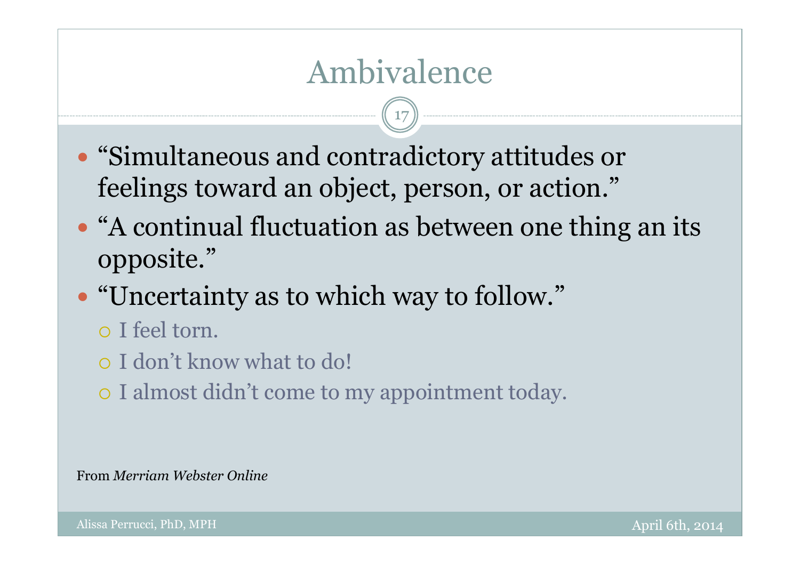## Ambivalence

17

- "Simultaneous and contradictory attitudes or feelings toward an object, person, or action."
- "A continual fluctuation as between one thing an its opposite."
- "Uncertainty as to which way to follow."
	- I feel torn.
	- I don't know what to do!
	- I almost didn't come to my appointment today.

From *Merriam Webster Online*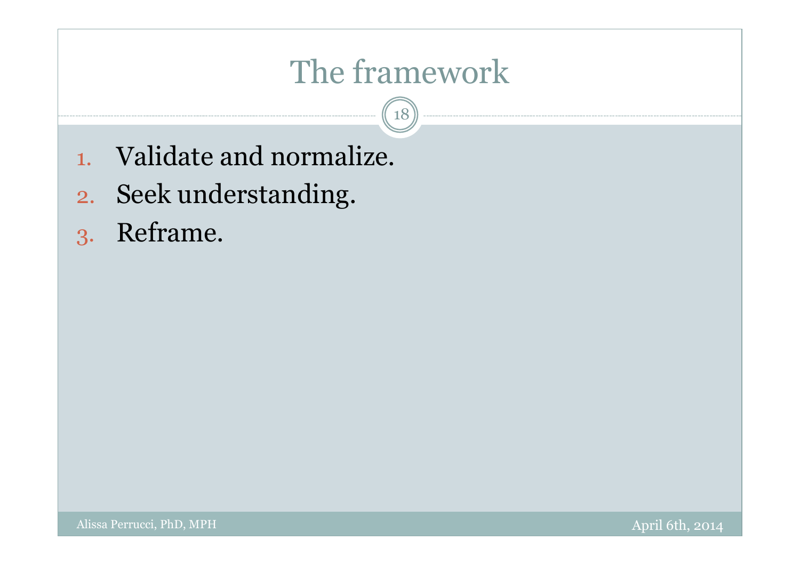# The framework

 $\left(18\right)$ 

- 1. Validate and normalize.
- 2. Seek understanding.
- 3. Reframe.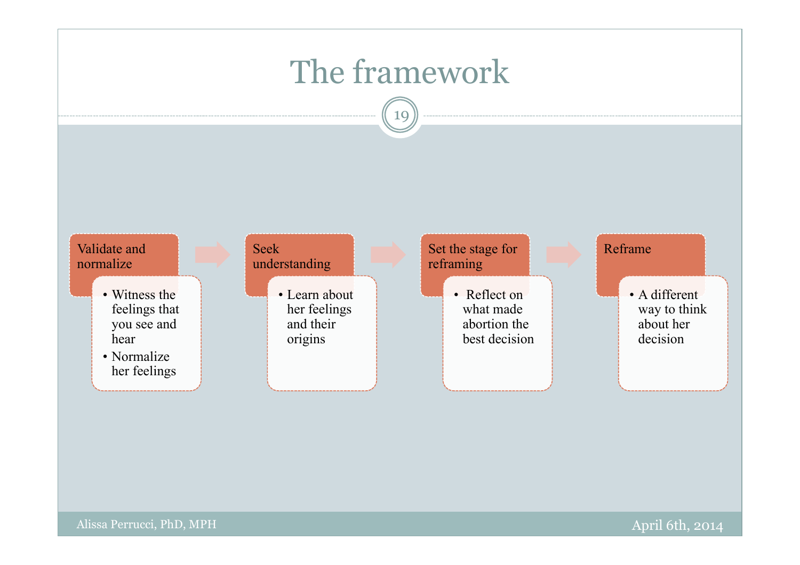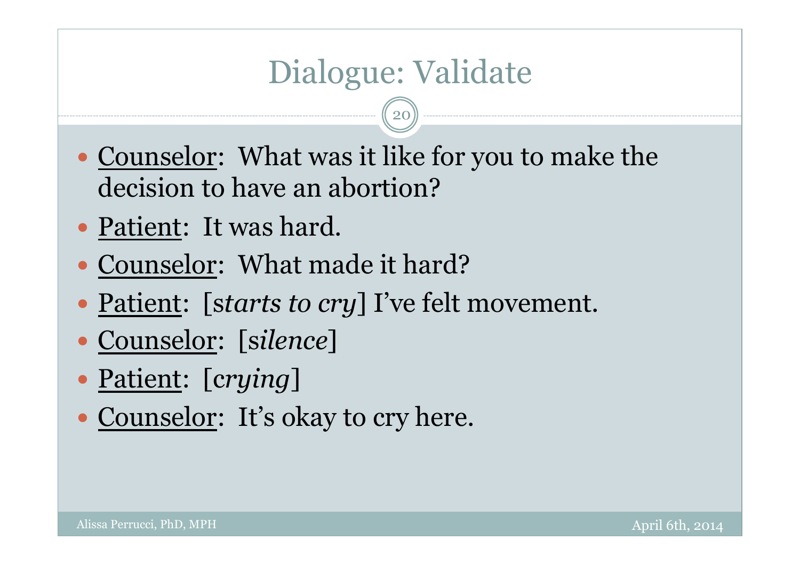# Dialogue: Validate

- Counselor: What was it like for you to make the decision to have an abortion?
- Patient: It was hard.
- Counselor: What made it hard?
- Patient: [starts to cry] I've felt movement.
- Counselor: [s*ilence*]
- Patient: [c*rying*]
- Counselor: It's okay to cry here.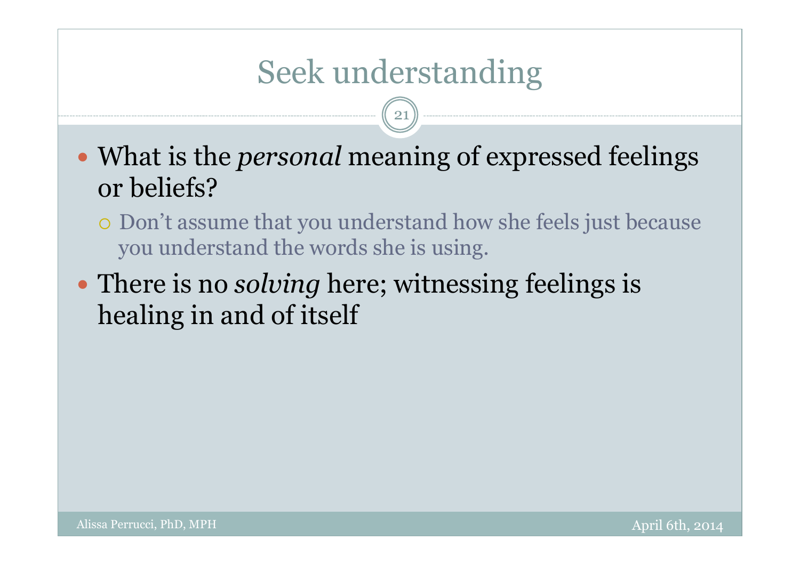# Seek understanding

- What is the *personal* meaning of expressed feelings or beliefs?
	- Don't assume that you understand how she feels just because you understand the words she is using.
- There is no *solving* here; witnessing feelings is healing in and of itself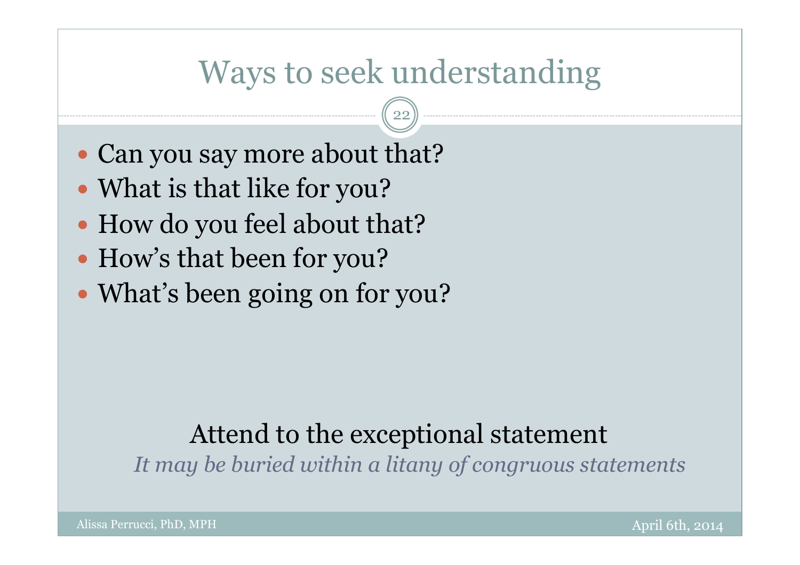### Ways to seek understanding

22

- Can you say more about that?
- What is that like for you?
- How do you feel about that?
- How's that been for you?
- What's been going on for you?

#### Attend to the exceptional statement

*It may be buried within a litany of congruous statements*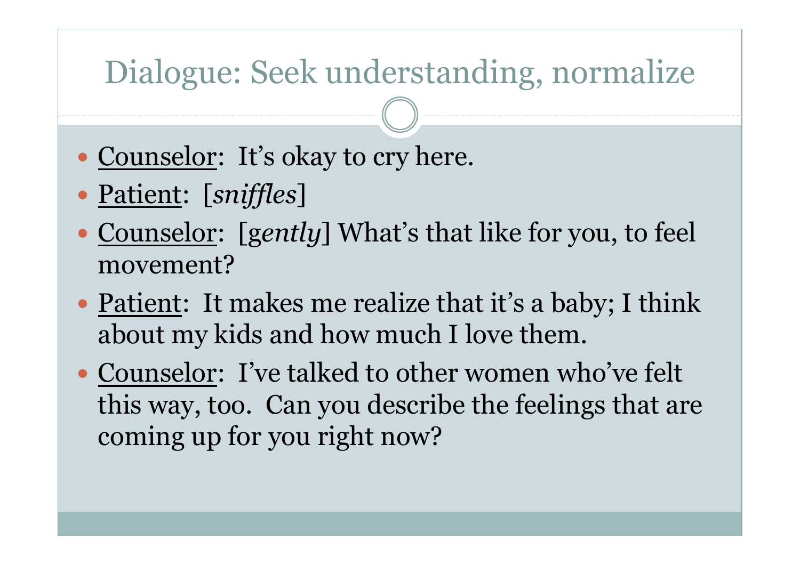# Dialogue: Seek understanding, normalize

- Counselor: It's okay to cry here.
- Patient: [*sniffles*]
- Counselor: [gently] What's that like for you, to feel movement?
- Patient: It makes me realize that it's a baby; I think about my kids and how much I love them.
- Counselor: I've talked to other women who've felt this way, too. Can you describe the feelings that are coming up for you right now?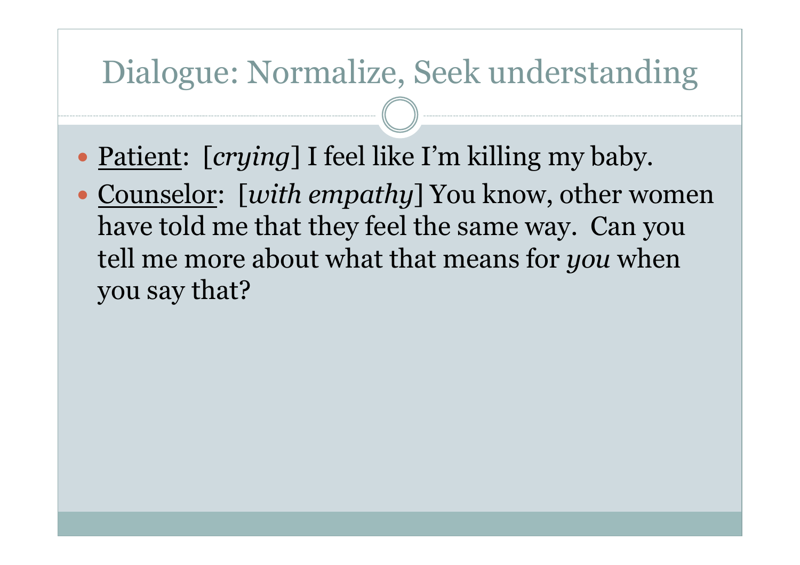### Dialogue: Normalize, Seek understanding

- Patient: [*crying*] I feel like I'm killing my baby.
- Counselor: [*with empathy*] You know, other women have told me that they feel the same way. Can you tell me more about what that means for *you* when you say that?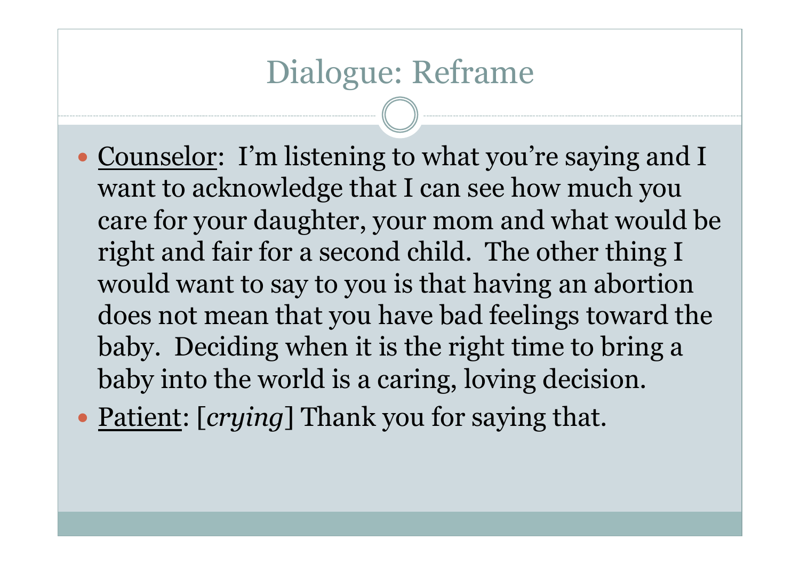### Dialogue: Reframe

- Counselor: I'm listening to what you're saying and I want to acknowledge that I can see how much you care for your daughter, your mom and what would be right and fair for a second child. The other thing I would want to say to you is that having an abortion does not mean that you have bad feelings toward the baby. Deciding when it is the right time to bring a baby into the world is a caring, loving decision.
- Patient: [*crying*] Thank you for saying that.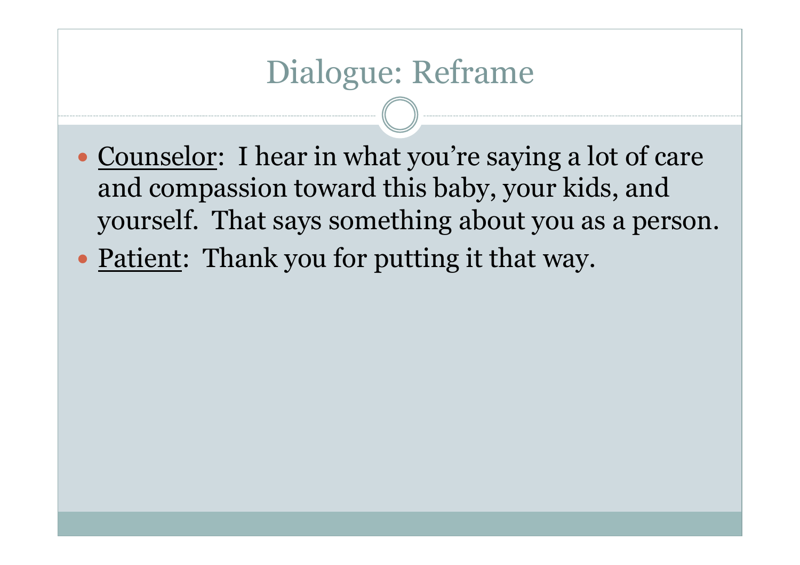## Dialogue: Reframe

- Counselor: I hear in what you're saying a lot of care and compassion toward this baby, your kids, and yourself. That says something about you as a person.
- Patient: Thank you for putting it that way.